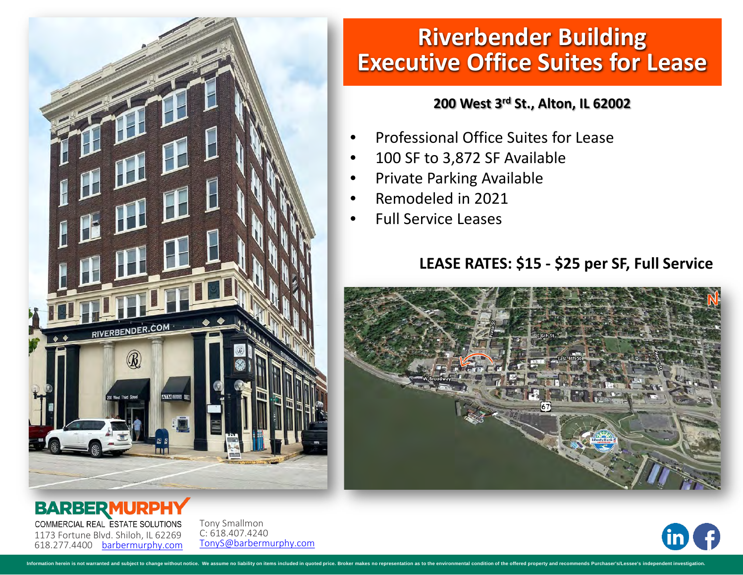

# **Riverbender Building Executive Office Suites for Lease**

#### **200 West 3rd St., Alton, IL 62002**

- Professional Office Suites for Lease
- 100 SF to 3,872 SF Available
- Private Parking Available
- Remodeled in 2021
- Full Service Leases

### **LEASE RATES: \$15 - \$25 per SF, Full Service**





**BARBERMURI** COMMERCIAL REAL ESTATE SOLUTIONS 1173 Fortune Blvd. Shiloh, IL 62269

618.277.4400 [barbermurphy.com](http://www.barbermurphy.com) Tony Smallmon C: 618.407.4240 [TonyS@barbermurphy.com](mailto:TonyS@barbermurphy.com)

rein is not warranted and subject to change without notice. We assume no liability on items included in quoted price. Broker makes no rei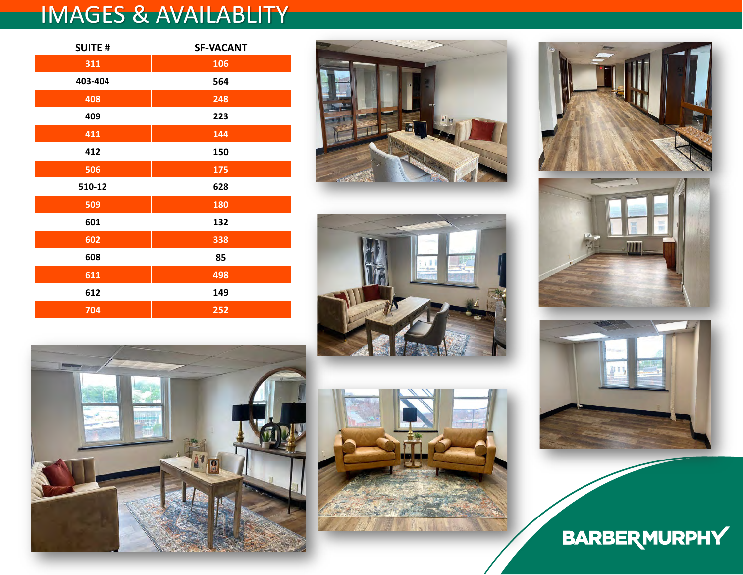## IMAGES & AVAILABLITY

| <b>SUITE#</b> | <b>SF-VACANT</b> |  |  |
|---------------|------------------|--|--|
| 311           | 106              |  |  |
| 403-404       | 564              |  |  |
| 408           | 248              |  |  |
| 409           | 223              |  |  |
| 411           | 144              |  |  |
| 412           | 150              |  |  |
| 506           | 175              |  |  |
| 510-12        | 628              |  |  |
| 509           | 180              |  |  |
| 601           | 132              |  |  |
| 602           | 338              |  |  |
| 608           | 85               |  |  |
| 611           | 498              |  |  |
| 612           | 149              |  |  |
| 704           | 252              |  |  |















**BARBERMURPHY**